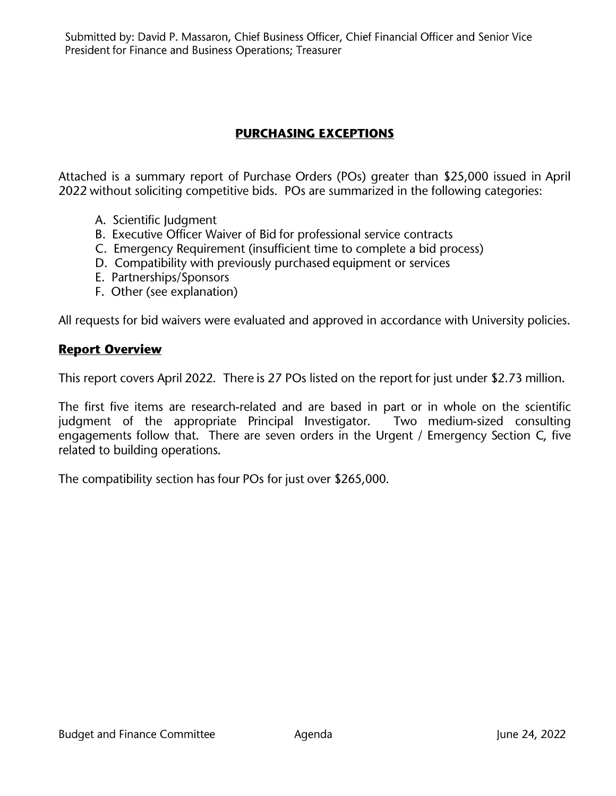Submitted by: David P. Massaron, Chief Business Officer, Chief Financial Officer and Senior Vice President for Finance and Business Operations; Treasurer

# **PURCHASING EXCEPTIONS**

Attached is a summary report of Purchase Orders (POs) greater than \$25,000 issued in April 2022 without soliciting competitive bids. POs are summarized in the following categories:

- A. Scientific Judgment
- B. Executive Officer Waiver of Bid for professional service contracts
- C. Emergency Requirement (insufficient time to complete a bid process)
- D. Compatibility with previously purchased equipment or services
- E. Partnerships/Sponsors
- F. Other (see explanation)

All requests for bid waivers were evaluated and approved in accordance with University policies.

### **Report Overview**

This report covers April 2022. There is 27 POs listed on the report for just under \$2.73 million.

The first five items are research-related and are based in part or in whole on the scientific judgment of the appropriate Principal Investigator. Two medium-sized consulting engagements follow that. There are seven orders in the Urgent / Emergency Section C, five related to building operations.

The compatibility section has four POs for just over \$265,000.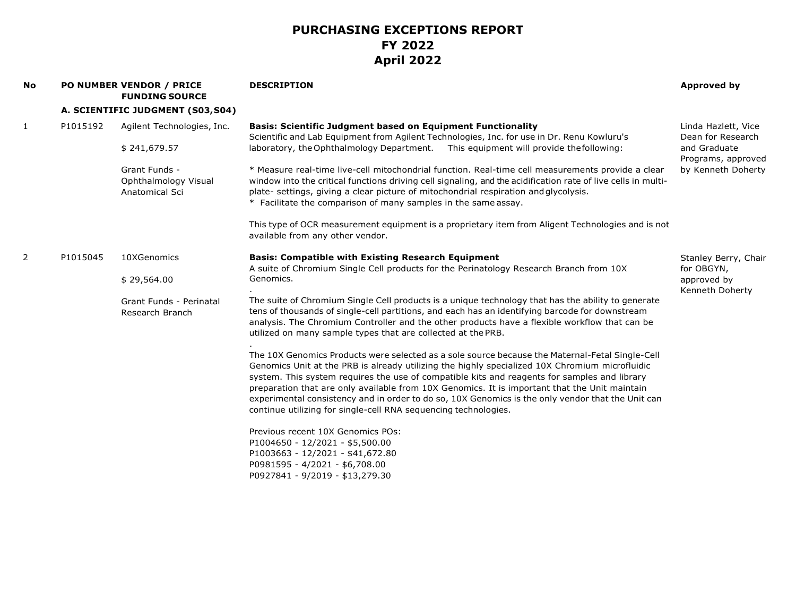| No           |          | <b>PO NUMBER VENDOR / PRICE</b><br><b>FUNDING SOURCE</b> | <b>DESCRIPTION</b>                                                                                                                                                                                                                                                                                                                                                                                                                                                                                                                                                         | <b>Approved by</b>                       |
|--------------|----------|----------------------------------------------------------|----------------------------------------------------------------------------------------------------------------------------------------------------------------------------------------------------------------------------------------------------------------------------------------------------------------------------------------------------------------------------------------------------------------------------------------------------------------------------------------------------------------------------------------------------------------------------|------------------------------------------|
|              |          | A. SCIENTIFIC JUDGMENT (S03, S04)                        |                                                                                                                                                                                                                                                                                                                                                                                                                                                                                                                                                                            |                                          |
| $\mathbf{1}$ | P1015192 | Agilent Technologies, Inc.                               | <b>Basis: Scientific Judgment based on Equipment Functionality</b><br>Scientific and Lab Equipment from Agilent Technologies, Inc. for use in Dr. Renu Kowluru's                                                                                                                                                                                                                                                                                                                                                                                                           | Linda Hazlett, Vice<br>Dean for Research |
|              |          | \$241,679.57                                             | laboratory, the Ophthalmology Department. This equipment will provide the following:                                                                                                                                                                                                                                                                                                                                                                                                                                                                                       | and Graduate<br>Programs, approved       |
|              |          | Grant Funds -<br>Ophthalmology Visual<br>Anatomical Sci  | * Measure real-time live-cell mitochondrial function. Real-time cell measurements provide a clear<br>window into the critical functions driving cell signaling, and the acidification rate of live cells in multi-<br>plate- settings, giving a clear picture of mitochondrial respiration and glycolysis.<br>* Facilitate the comparison of many samples in the same assay.                                                                                                                                                                                               | by Kenneth Doherty                       |
|              |          |                                                          | This type of OCR measurement equipment is a proprietary item from Aligent Technologies and is not<br>available from any other vendor.                                                                                                                                                                                                                                                                                                                                                                                                                                      |                                          |
| 2            | P1015045 | 10XGenomics                                              | <b>Basis: Compatible with Existing Research Equipment</b><br>A suite of Chromium Single Cell products for the Perinatology Research Branch from 10X                                                                                                                                                                                                                                                                                                                                                                                                                        | Stanley Berry, Chair<br>for OBGYN,       |
|              |          | \$29,564.00                                              | Genomics.                                                                                                                                                                                                                                                                                                                                                                                                                                                                                                                                                                  | approved by<br>Kenneth Doherty           |
|              |          | Grant Funds - Perinatal<br>Research Branch               | The suite of Chromium Single Cell products is a unique technology that has the ability to generate<br>tens of thousands of single-cell partitions, and each has an identifying barcode for downstream<br>analysis. The Chromium Controller and the other products have a flexible workflow that can be<br>utilized on many sample types that are collected at the PRB.                                                                                                                                                                                                     |                                          |
|              |          |                                                          | The 10X Genomics Products were selected as a sole source because the Maternal-Fetal Single-Cell<br>Genomics Unit at the PRB is already utilizing the highly specialized 10X Chromium microfluidic<br>system. This system requires the use of compatible kits and reagents for samples and library<br>preparation that are only available from 10X Genomics. It is important that the Unit maintain<br>experimental consistency and in order to do so, 10X Genomics is the only vendor that the Unit can<br>continue utilizing for single-cell RNA sequencing technologies. |                                          |
|              |          |                                                          | Previous recent 10X Genomics POs:<br>P1004650 - 12/2021 - \$5,500.00<br>P1003663 - 12/2021 - \$41,672.80<br>P0981595 - 4/2021 - \$6,708.00<br>P0927841 - 9/2019 - \$13,279.30                                                                                                                                                                                                                                                                                                                                                                                              |                                          |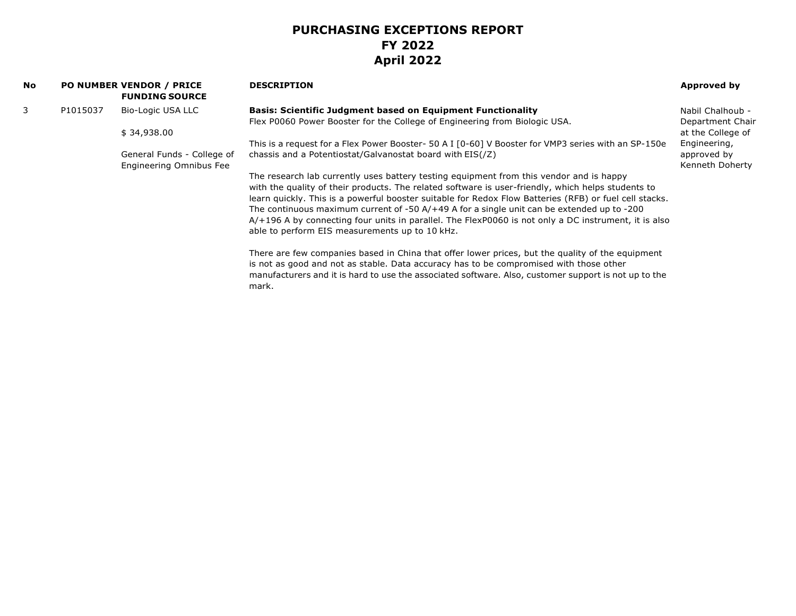| <b>No</b> |          | <b>PO NUMBER VENDOR / PRICE</b><br><b>FUNDING SOURCE</b> | <b>DESCRIPTION</b>                                                                                            | Approved by       |
|-----------|----------|----------------------------------------------------------|---------------------------------------------------------------------------------------------------------------|-------------------|
| 3         | P1015037 | Bio-Logic USA LLC                                        | Basis: Scientific Judgment based on Equipment Functionality                                                   | Nabil Chalhoub -  |
|           |          |                                                          | Flex P0060 Power Booster for the College of Engineering from Biologic USA.                                    | Department Chair  |
|           |          | \$34,938.00                                              |                                                                                                               | at the College of |
|           |          |                                                          | This is a request for a Flex Power Booster- 50 A I [0-60] V Booster for VMP3 series with an SP-150e           | Engineering,      |
|           |          | General Funds - College of                               | chassis and a Potentiostat/Galvanostat board with EIS(/Z)                                                     | approved by       |
|           |          | Engineering Omnibus Fee                                  |                                                                                                               | Kenneth Doherty   |
|           |          |                                                          | The research lab currently uses battery testing equipment from this vendor and is happy                       |                   |
|           |          |                                                          | with the quality of their products. The related software is user-friendly, which helps students to            |                   |
|           |          |                                                          | learn quickly. This is a powerful booster suitable for Redox Flow Batteries (RFB) or fuel cell stacks.        |                   |
|           |          |                                                          | The continuous maximum current of $-50 A/+49 A$ for a single unit can be extended up to $-200$                |                   |
|           |          |                                                          | $A/+196$ A by connecting four units in parallel. The FlexP0060 is not only a DC instrument, it is also        |                   |
|           |          |                                                          | able to perform EIS measurements up to 10 kHz.                                                                |                   |
|           |          |                                                          | There are few companies based in China that offer lower prices, but the quality of the equipment              |                   |
|           |          |                                                          | is not as good and not as stable. Data accuracy has to be compromised with those other                        |                   |
|           |          |                                                          | manufacturers and it is hard to use the associated software. Also, customer support is not up to the<br>mark. |                   |
|           |          |                                                          |                                                                                                               |                   |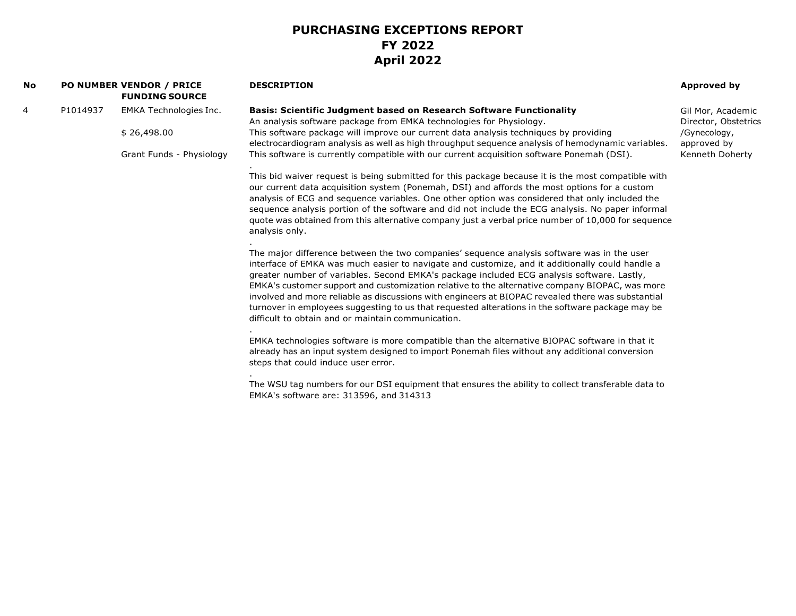| No |          | PO NUMBER VENDOR / PRICE<br><b>FUNDING SOURCE</b> | <b>DESCRIPTION</b>                                                                                                                                                                                                                                                                                                                                                                                                                                                                                                                                                                                                                                           | Approved by                               |
|----|----------|---------------------------------------------------|--------------------------------------------------------------------------------------------------------------------------------------------------------------------------------------------------------------------------------------------------------------------------------------------------------------------------------------------------------------------------------------------------------------------------------------------------------------------------------------------------------------------------------------------------------------------------------------------------------------------------------------------------------------|-------------------------------------------|
| 4  | P1014937 | <b>EMKA Technologies Inc.</b>                     | <b>Basis: Scientific Judgment based on Research Software Functionality</b><br>An analysis software package from EMKA technologies for Physiology.                                                                                                                                                                                                                                                                                                                                                                                                                                                                                                            | Gil Mor, Academic<br>Director, Obstetrics |
|    |          | \$26,498.00                                       | This software package will improve our current data analysis techniques by providing<br>electrocardiogram analysis as well as high throughput sequence analysis of hemodynamic variables.                                                                                                                                                                                                                                                                                                                                                                                                                                                                    | /Gynecology,<br>approved by               |
|    |          | Grant Funds - Physiology                          | This software is currently compatible with our current acquisition software Ponemah (DSI).                                                                                                                                                                                                                                                                                                                                                                                                                                                                                                                                                                   | Kenneth Doherty                           |
|    |          |                                                   | This bid waiver request is being submitted for this package because it is the most compatible with<br>our current data acquisition system (Ponemah, DSI) and affords the most options for a custom<br>analysis of ECG and sequence variables. One other option was considered that only included the<br>sequence analysis portion of the software and did not include the ECG analysis. No paper informal<br>quote was obtained from this alternative company just a verbal price number of 10,000 for sequence<br>analysis only.                                                                                                                            |                                           |
|    |          |                                                   | The major difference between the two companies' sequence analysis software was in the user<br>interface of EMKA was much easier to navigate and customize, and it additionally could handle a<br>greater number of variables. Second EMKA's package included ECG analysis software. Lastly,<br>EMKA's customer support and customization relative to the alternative company BIOPAC, was more<br>involved and more reliable as discussions with engineers at BIOPAC revealed there was substantial<br>turnover in employees suggesting to us that requested alterations in the software package may be<br>difficult to obtain and or maintain communication. |                                           |
|    |          |                                                   | EMKA technologies software is more compatible than the alternative BIOPAC software in that it<br>already has an input system designed to import Ponemah files without any additional conversion<br>steps that could induce user error.                                                                                                                                                                                                                                                                                                                                                                                                                       |                                           |
|    |          |                                                   | The WSU tag numbers for our DSI equipment that ensures the ability to collect transferable data to<br>EMKA's software are: 313596, and 314313                                                                                                                                                                                                                                                                                                                                                                                                                                                                                                                |                                           |
|    |          |                                                   |                                                                                                                                                                                                                                                                                                                                                                                                                                                                                                                                                                                                                                                              |                                           |
|    |          |                                                   |                                                                                                                                                                                                                                                                                                                                                                                                                                                                                                                                                                                                                                                              |                                           |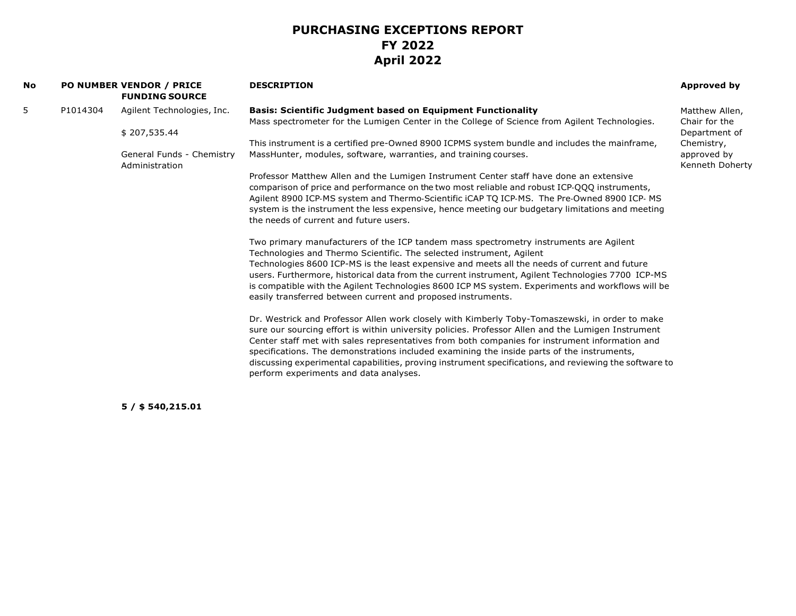| No |          | PO NUMBER VENDOR / PRICE<br><b>FUNDING SOURCE</b> | <b>DESCRIPTION</b>                                                                                     | Approved by                    |
|----|----------|---------------------------------------------------|--------------------------------------------------------------------------------------------------------|--------------------------------|
| 5  | P1014304 | Agilent Technologies, Inc.                        | <b>Basis: Scientific Judgment based on Equipment Functionality</b>                                     | Matthew Allen,                 |
|    |          |                                                   | Mass spectrometer for the Lumigen Center in the College of Science from Agilent Technologies.          | Chair for the                  |
|    |          | \$207,535.44                                      |                                                                                                        | Department of                  |
|    |          |                                                   | This instrument is a certified pre-Owned 8900 ICPMS system bundle and includes the mainframe,          | Chemistry,                     |
|    |          | General Funds - Chemistry<br>Administration       | MassHunter, modules, software, warranties, and training courses.                                       | approved by<br>Kenneth Doherty |
|    |          |                                                   | Professor Matthew Allen and the Lumigen Instrument Center staff have done an extensive                 |                                |
|    |          |                                                   | comparison of price and performance on the two most reliable and robust ICP-QQQ instruments,           |                                |
|    |          |                                                   | Agilent 8900 ICP-MS system and Thermo-Scientific iCAP TQ ICP-MS. The Pre-Owned 8900 ICP-MS             |                                |
|    |          |                                                   | system is the instrument the less expensive, hence meeting our budgetary limitations and meeting       |                                |
|    |          |                                                   | the needs of current and future users.                                                                 |                                |
|    |          |                                                   | Two primary manufacturers of the ICP tandem mass spectrometry instruments are Agilent                  |                                |
|    |          |                                                   | Technologies and Thermo Scientific. The selected instrument, Agilent                                   |                                |
|    |          |                                                   | Technologies 8600 ICP-MS is the least expensive and meets all the needs of current and future          |                                |
|    |          |                                                   | users. Furthermore, historical data from the current instrument, Agilent Technologies 7700 ICP-MS      |                                |
|    |          |                                                   | is compatible with the Agilent Technologies 8600 ICP MS system. Experiments and workflows will be      |                                |
|    |          |                                                   | easily transferred between current and proposed instruments.                                           |                                |
|    |          |                                                   | Dr. Westrick and Professor Allen work closely with Kimberly Toby-Tomaszewski, in order to make         |                                |
|    |          |                                                   | sure our sourcing effort is within university policies. Professor Allen and the Lumigen Instrument     |                                |
|    |          |                                                   | Center staff met with sales representatives from both companies for instrument information and         |                                |
|    |          |                                                   | specifications. The demonstrations included examining the inside parts of the instruments,             |                                |
|    |          |                                                   | discussing experimental capabilities, proving instrument specifications, and reviewing the software to |                                |
|    |          |                                                   | perform experiments and data analyses.                                                                 |                                |
|    |          |                                                   |                                                                                                        |                                |

**5 / \$ 540,215.01**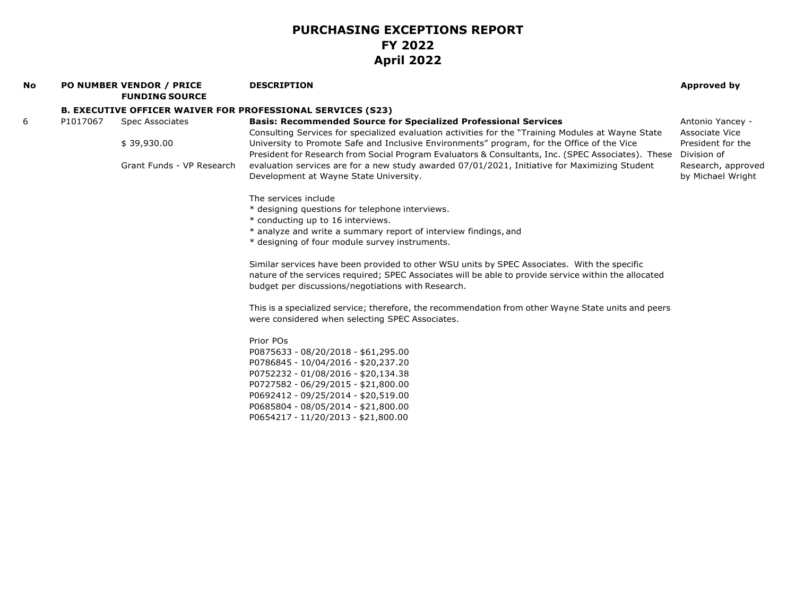| No |          | <b>PO NUMBER VENDOR / PRICE</b><br><b>FUNDING SOURCE</b> | <b>DESCRIPTION</b>                                                                                                                                                                               | Approved by                             |
|----|----------|----------------------------------------------------------|--------------------------------------------------------------------------------------------------------------------------------------------------------------------------------------------------|-----------------------------------------|
|    |          |                                                          | <b>B. EXECUTIVE OFFICER WAIVER FOR PROFESSIONAL SERVICES (S23)</b>                                                                                                                               |                                         |
| 6  | P1017067 | <b>Spec Associates</b>                                   | <b>Basis: Recommended Source for Specialized Professional Services</b><br>Consulting Services for specialized evaluation activities for the "Training Modules at Wayne State                     | Antonio Yancey -<br>Associate Vice      |
|    |          | \$39,930.00                                              | University to Promote Safe and Inclusive Environments" program, for the Office of the Vice<br>President for Research from Social Program Evaluators & Consultants, Inc. (SPEC Associates). These | President for the<br>Division of        |
|    |          | Grant Funds - VP Research                                | evaluation services are for a new study awarded 07/01/2021, Initiative for Maximizing Student<br>Development at Wayne State University.                                                          | Research, approved<br>by Michael Wright |
|    |          |                                                          | The services include                                                                                                                                                                             |                                         |
|    |          |                                                          | * designing questions for telephone interviews.                                                                                                                                                  |                                         |
|    |          |                                                          | * conducting up to 16 interviews.                                                                                                                                                                |                                         |
|    |          |                                                          | * analyze and write a summary report of interview findings, and                                                                                                                                  |                                         |
|    |          |                                                          | * designing of four module survey instruments.                                                                                                                                                   |                                         |
|    |          |                                                          | Similar services have been provided to other WSU units by SPEC Associates. With the specific                                                                                                     |                                         |
|    |          |                                                          | nature of the services required; SPEC Associates will be able to provide service within the allocated<br>budget per discussions/negotiations with Research.                                      |                                         |
|    |          |                                                          | This is a specialized service; therefore, the recommendation from other Wayne State units and peers<br>were considered when selecting SPEC Associates.                                           |                                         |
|    |          |                                                          | Prior POs                                                                                                                                                                                        |                                         |
|    |          |                                                          | P0875633 - 08/20/2018 - \$61,295.00                                                                                                                                                              |                                         |
|    |          |                                                          | P0786845 - 10/04/2016 - \$20,237.20                                                                                                                                                              |                                         |
|    |          |                                                          | P0752232 - 01/08/2016 - \$20,134.38                                                                                                                                                              |                                         |
|    |          |                                                          | P0727582 - 06/29/2015 - \$21,800.00                                                                                                                                                              |                                         |
|    |          |                                                          | P0692412 - 09/25/2014 - \$20,519.00                                                                                                                                                              |                                         |
|    |          |                                                          | P0685804 - 08/05/2014 - \$21,800.00                                                                                                                                                              |                                         |
|    |          |                                                          | P0654217 - 11/20/2013 - \$21,800.00                                                                                                                                                              |                                         |
|    |          |                                                          |                                                                                                                                                                                                  |                                         |
|    |          |                                                          |                                                                                                                                                                                                  |                                         |
|    |          |                                                          |                                                                                                                                                                                                  |                                         |
|    |          |                                                          |                                                                                                                                                                                                  |                                         |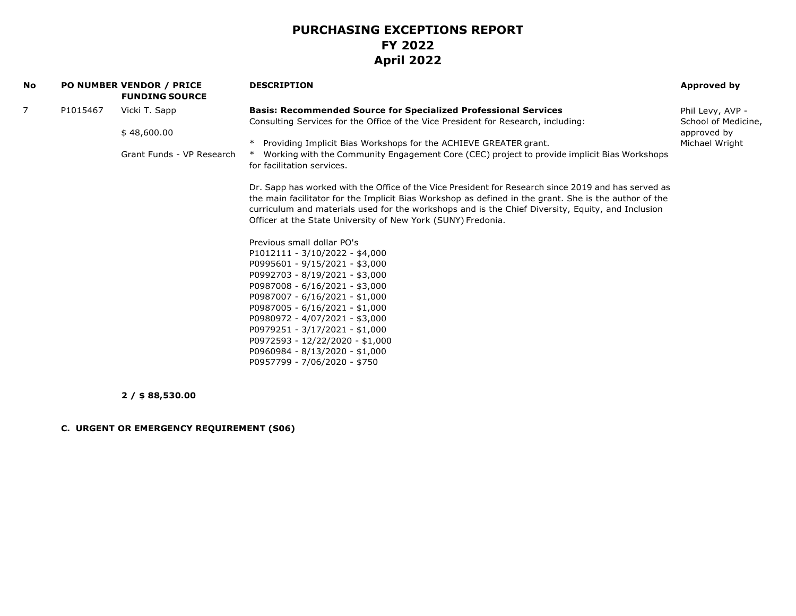| No |          | <b>PO NUMBER VENDOR / PRICE</b><br><b>FUNDING SOURCE</b> | <b>DESCRIPTION</b>                                                                                                                                                                                           | <b>Approved by</b>  |
|----|----------|----------------------------------------------------------|--------------------------------------------------------------------------------------------------------------------------------------------------------------------------------------------------------------|---------------------|
| 7  | P1015467 | Vicki T. Sapp                                            | <b>Basis: Recommended Source for Specialized Professional Services</b>                                                                                                                                       | Phil Levy, AVP -    |
|    |          |                                                          | Consulting Services for the Office of the Vice President for Research, including:                                                                                                                            | School of Medicine, |
|    |          | \$48,600.00                                              |                                                                                                                                                                                                              | approved by         |
|    |          |                                                          | * Providing Implicit Bias Workshops for the ACHIEVE GREATER grant.                                                                                                                                           | Michael Wright      |
|    |          | Grant Funds - VP Research                                | Working with the Community Engagement Core (CEC) project to provide implicit Bias Workshops<br>for facilitation services.                                                                                    |                     |
|    |          |                                                          | Dr. Sapp has worked with the Office of the Vice President for Research since 2019 and has served as<br>the main facilitator for the Implicit Bias Workshop as defined in the grant. She is the author of the |                     |
|    |          |                                                          | curriculum and materials used for the workshops and is the Chief Diversity, Equity, and Inclusion                                                                                                            |                     |
|    |          |                                                          | Officer at the State University of New York (SUNY) Fredonia.                                                                                                                                                 |                     |
|    |          |                                                          | Previous small dollar PO's                                                                                                                                                                                   |                     |
|    |          |                                                          | $P1012111 - 3/10/2022 - $4,000$                                                                                                                                                                              |                     |
|    |          |                                                          | P0995601 - 9/15/2021 - \$3,000                                                                                                                                                                               |                     |
|    |          |                                                          | P0992703 - 8/19/2021 - \$3,000                                                                                                                                                                               |                     |
|    |          |                                                          | P0987008 - 6/16/2021 - \$3,000                                                                                                                                                                               |                     |
|    |          |                                                          | P0987007 - 6/16/2021 - \$1,000                                                                                                                                                                               |                     |
|    |          |                                                          | P0987005 - 6/16/2021 - \$1,000<br>P0980972 - 4/07/2021 - \$3,000                                                                                                                                             |                     |
|    |          |                                                          | P0979251 - 3/17/2021 - \$1,000                                                                                                                                                                               |                     |
|    |          |                                                          | P0972593 - 12/22/2020 - \$1,000                                                                                                                                                                              |                     |
|    |          |                                                          | P0960984 - 8/13/2020 - \$1,000                                                                                                                                                                               |                     |
|    |          |                                                          | P0957799 - 7/06/2020 - \$750                                                                                                                                                                                 |                     |
|    |          |                                                          |                                                                                                                                                                                                              |                     |

**2 / \$ 88,530.00**

**C. URGENT OR EMERGENCY REQUIREMENT (S06)**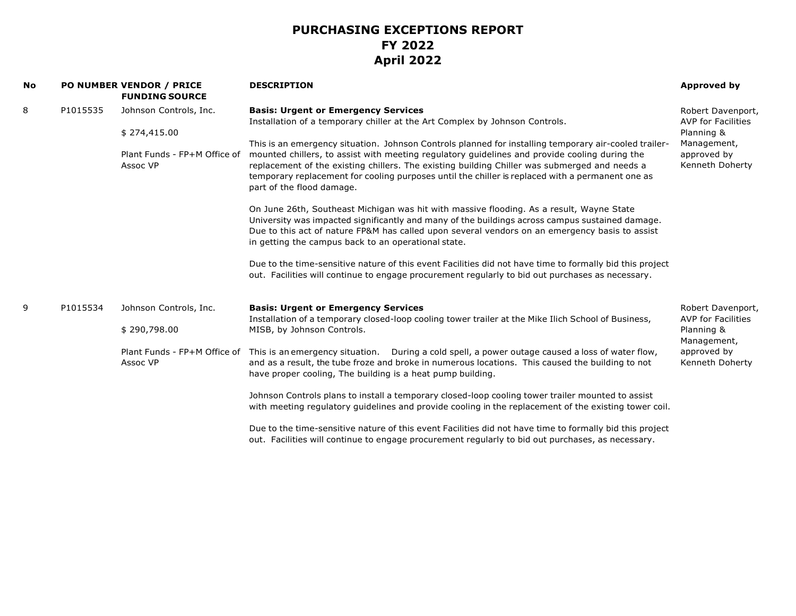| <b>No</b> |          | <b>PO NUMBER VENDOR / PRICE</b><br><b>FUNDING SOURCE</b> | <b>DESCRIPTION</b>                                                                                                                                                                                                                                                                                                                                                                                                                       | <b>Approved by</b>                                     |
|-----------|----------|----------------------------------------------------------|------------------------------------------------------------------------------------------------------------------------------------------------------------------------------------------------------------------------------------------------------------------------------------------------------------------------------------------------------------------------------------------------------------------------------------------|--------------------------------------------------------|
| 8         | P1015535 | Johnson Controls, Inc.                                   | <b>Basis: Urgent or Emergency Services</b><br>Installation of a temporary chiller at the Art Complex by Johnson Controls.                                                                                                                                                                                                                                                                                                                | Robert Davenport,<br><b>AVP for Facilities</b>         |
|           |          | \$274,415.00                                             |                                                                                                                                                                                                                                                                                                                                                                                                                                          | Planning &                                             |
|           |          | Plant Funds - FP+M Office of<br>Assoc VP                 | This is an emergency situation. Johnson Controls planned for installing temporary air-cooled trailer-<br>mounted chillers, to assist with meeting regulatory guidelines and provide cooling during the<br>replacement of the existing chillers. The existing building Chiller was submerged and needs a<br>temporary replacement for cooling purposes until the chiller is replaced with a permanent one as<br>part of the flood damage. | Management,<br>approved by<br>Kenneth Doherty          |
|           |          |                                                          | On June 26th, Southeast Michigan was hit with massive flooding. As a result, Wayne State<br>University was impacted significantly and many of the buildings across campus sustained damage.<br>Due to this act of nature FP&M has called upon several vendors on an emergency basis to assist<br>in getting the campus back to an operational state.                                                                                     |                                                        |
|           |          |                                                          | Due to the time-sensitive nature of this event Facilities did not have time to formally bid this project<br>out. Facilities will continue to engage procurement regularly to bid out purchases as necessary.                                                                                                                                                                                                                             |                                                        |
| 9         | P1015534 | Johnson Controls, Inc.                                   | <b>Basis: Urgent or Emergency Services</b>                                                                                                                                                                                                                                                                                                                                                                                               | Robert Davenport,                                      |
|           |          | \$290,798.00                                             | Installation of a temporary closed-loop cooling tower trailer at the Mike Ilich School of Business,<br>MISB, by Johnson Controls.                                                                                                                                                                                                                                                                                                        | <b>AVP for Facilities</b><br>Planning &<br>Management, |
|           |          | Plant Funds - FP+M Office of<br>Assoc VP                 | This is an emergency situation.  During a cold spell, a power outage caused a loss of water flow,<br>and as a result, the tube froze and broke in numerous locations. This caused the building to not<br>have proper cooling, The building is a heat pump building.                                                                                                                                                                      | approved by<br>Kenneth Doherty                         |
|           |          |                                                          | Johnson Controls plans to install a temporary closed-loop cooling tower trailer mounted to assist<br>with meeting regulatory guidelines and provide cooling in the replacement of the existing tower coil.                                                                                                                                                                                                                               |                                                        |
|           |          |                                                          | Due to the time-sensitive nature of this event Facilities did not have time to formally bid this project<br>out. Facilities will continue to engage procurement regularly to bid out purchases, as necessary.                                                                                                                                                                                                                            |                                                        |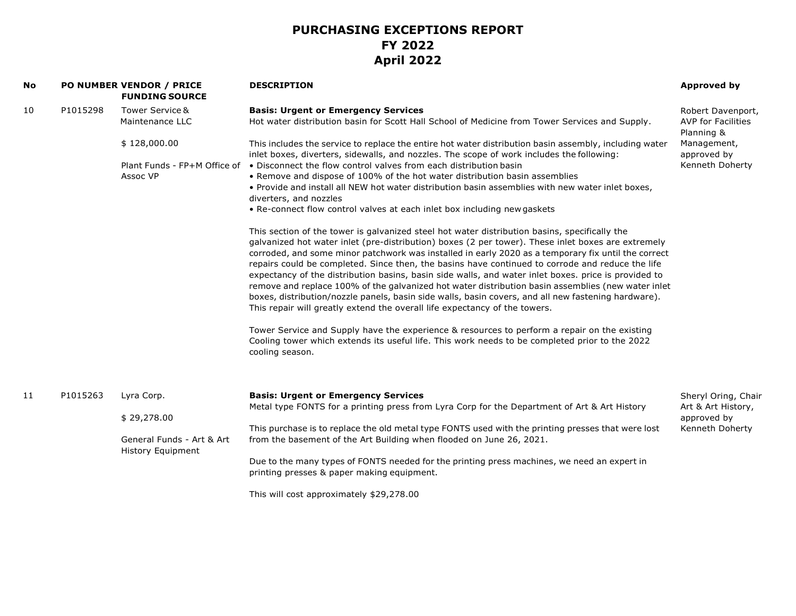| No |          | PO NUMBER VENDOR / PRICE<br><b>FUNDING SOURCE</b>        | <b>DESCRIPTION</b>                                                                                                                                                                                                                                                                                                                                                                                                                                                                                                                                                                                                                                                                                                                                                                                                | <b>Approved by</b>                                           |
|----|----------|----------------------------------------------------------|-------------------------------------------------------------------------------------------------------------------------------------------------------------------------------------------------------------------------------------------------------------------------------------------------------------------------------------------------------------------------------------------------------------------------------------------------------------------------------------------------------------------------------------------------------------------------------------------------------------------------------------------------------------------------------------------------------------------------------------------------------------------------------------------------------------------|--------------------------------------------------------------|
| 10 | P1015298 | Tower Service &<br>Maintenance LLC                       | <b>Basis: Urgent or Emergency Services</b><br>Hot water distribution basin for Scott Hall School of Medicine from Tower Services and Supply.                                                                                                                                                                                                                                                                                                                                                                                                                                                                                                                                                                                                                                                                      | Robert Davenport,<br><b>AVP for Facilities</b><br>Planning & |
|    |          | \$128,000.00<br>Plant Funds - FP+M Office of<br>Assoc VP | This includes the service to replace the entire hot water distribution basin assembly, including water<br>inlet boxes, diverters, sidewalls, and nozzles. The scope of work includes the following:<br>• Disconnect the flow control valves from each distribution basin<br>. Remove and dispose of 100% of the hot water distribution basin assemblies<br>. Provide and install all NEW hot water distribution basin assemblies with new water inlet boxes,<br>diverters, and nozzles<br>• Re-connect flow control valves at each inlet box including new gaskets                                                                                                                                                                                                                                                | Management,<br>approved by<br>Kenneth Doherty                |
|    |          |                                                          | This section of the tower is galvanized steel hot water distribution basins, specifically the<br>galvanized hot water inlet (pre-distribution) boxes (2 per tower). These inlet boxes are extremely<br>corroded, and some minor patchwork was installed in early 2020 as a temporary fix until the correct<br>repairs could be completed. Since then, the basins have continued to corrode and reduce the life<br>expectancy of the distribution basins, basin side walls, and water inlet boxes. price is provided to<br>remove and replace 100% of the galvanized hot water distribution basin assemblies (new water inlet<br>boxes, distribution/nozzle panels, basin side walls, basin covers, and all new fastening hardware).<br>This repair will greatly extend the overall life expectancy of the towers. |                                                              |
|    |          |                                                          | Tower Service and Supply have the experience & resources to perform a repair on the existing<br>Cooling tower which extends its useful life. This work needs to be completed prior to the 2022<br>cooling season.                                                                                                                                                                                                                                                                                                                                                                                                                                                                                                                                                                                                 |                                                              |
| 11 | P1015263 | Lyra Corp.                                               | <b>Basis: Urgent or Emergency Services</b><br>Metal type FONTS for a printing press from Lyra Corp for the Department of Art & Art History                                                                                                                                                                                                                                                                                                                                                                                                                                                                                                                                                                                                                                                                        | Sheryl Oring, Chair<br>Art & Art History,                    |
|    |          | \$29,278.00                                              | This purchase is to replace the old metal type FONTS used with the printing presses that were lost                                                                                                                                                                                                                                                                                                                                                                                                                                                                                                                                                                                                                                                                                                                | approved by<br>Kenneth Doherty                               |
|    |          | General Funds - Art & Art<br><b>History Equipment</b>    | from the basement of the Art Building when flooded on June 26, 2021.                                                                                                                                                                                                                                                                                                                                                                                                                                                                                                                                                                                                                                                                                                                                              |                                                              |
|    |          |                                                          | Due to the many types of FONTS needed for the printing press machines, we need an expert in<br>printing presses & paper making equipment.                                                                                                                                                                                                                                                                                                                                                                                                                                                                                                                                                                                                                                                                         |                                                              |
|    |          |                                                          | This will cost approximately \$29,278.00                                                                                                                                                                                                                                                                                                                                                                                                                                                                                                                                                                                                                                                                                                                                                                          |                                                              |
|    |          |                                                          |                                                                                                                                                                                                                                                                                                                                                                                                                                                                                                                                                                                                                                                                                                                                                                                                                   |                                                              |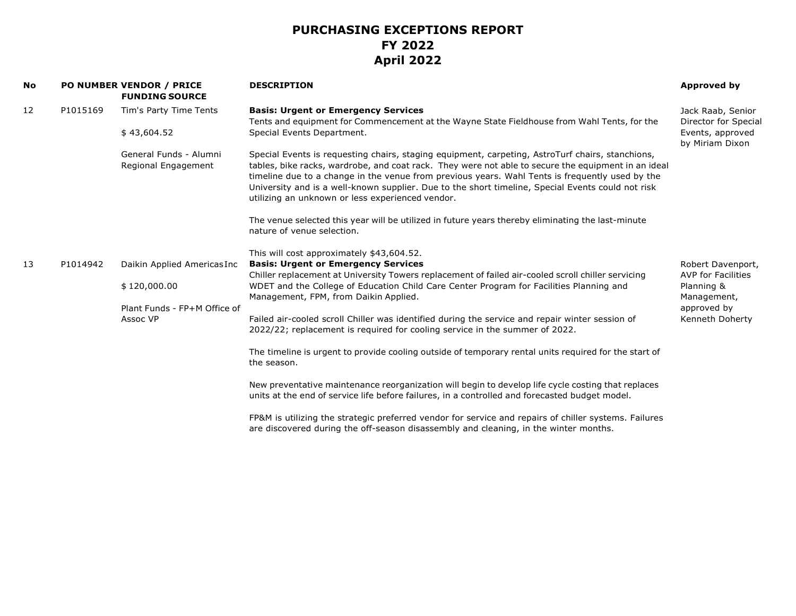| No |          | <b>PO NUMBER VENDOR / PRICE</b><br><b>FUNDING SOURCE</b> | <b>DESCRIPTION</b>                                                                                                                                                                                                                                                                                                                                                                                                                                                  | Approved by                                            |
|----|----------|----------------------------------------------------------|---------------------------------------------------------------------------------------------------------------------------------------------------------------------------------------------------------------------------------------------------------------------------------------------------------------------------------------------------------------------------------------------------------------------------------------------------------------------|--------------------------------------------------------|
| 12 | P1015169 | Tim's Party Time Tents                                   | <b>Basis: Urgent or Emergency Services</b><br>Tents and equipment for Commencement at the Wayne State Fieldhouse from Wahl Tents, for the                                                                                                                                                                                                                                                                                                                           | Jack Raab, Senior<br>Director for Special              |
|    |          | \$43,604.52                                              | Special Events Department.                                                                                                                                                                                                                                                                                                                                                                                                                                          | Events, approved<br>by Miriam Dixon                    |
|    |          | General Funds - Alumni<br>Regional Engagement            | Special Events is requesting chairs, staging equipment, carpeting, AstroTurf chairs, stanchions,<br>tables, bike racks, wardrobe, and coat rack. They were not able to secure the equipment in an ideal<br>timeline due to a change in the venue from previous years. Wahl Tents is frequently used by the<br>University and is a well-known supplier. Due to the short timeline, Special Events could not risk<br>utilizing an unknown or less experienced vendor. |                                                        |
|    |          |                                                          | The venue selected this year will be utilized in future years thereby eliminating the last-minute<br>nature of venue selection.                                                                                                                                                                                                                                                                                                                                     |                                                        |
|    |          |                                                          | This will cost approximately \$43,604.52.                                                                                                                                                                                                                                                                                                                                                                                                                           |                                                        |
| 13 | P1014942 | Daikin Applied Americas Inc                              | <b>Basis: Urgent or Emergency Services</b>                                                                                                                                                                                                                                                                                                                                                                                                                          | Robert Davenport,                                      |
|    |          | \$120,000.00                                             | Chiller replacement at University Towers replacement of failed air-cooled scroll chiller servicing<br>WDET and the College of Education Child Care Center Program for Facilities Planning and<br>Management, FPM, from Daikin Applied.                                                                                                                                                                                                                              | <b>AVP for Facilities</b><br>Planning &<br>Management, |
|    |          | Plant Funds - FP+M Office of                             |                                                                                                                                                                                                                                                                                                                                                                                                                                                                     | approved by                                            |
|    |          | Assoc VP                                                 | Failed air-cooled scroll Chiller was identified during the service and repair winter session of<br>2022/22; replacement is required for cooling service in the summer of 2022.                                                                                                                                                                                                                                                                                      | Kenneth Doherty                                        |
|    |          |                                                          | The timeline is urgent to provide cooling outside of temporary rental units required for the start of<br>the season.                                                                                                                                                                                                                                                                                                                                                |                                                        |
|    |          |                                                          | New preventative maintenance reorganization will begin to develop life cycle costing that replaces<br>units at the end of service life before failures, in a controlled and forecasted budget model.                                                                                                                                                                                                                                                                |                                                        |
|    |          |                                                          | FP&M is utilizing the strategic preferred vendor for service and repairs of chiller systems. Failures<br>are discovered during the off-season disassembly and cleaning, in the winter months.                                                                                                                                                                                                                                                                       |                                                        |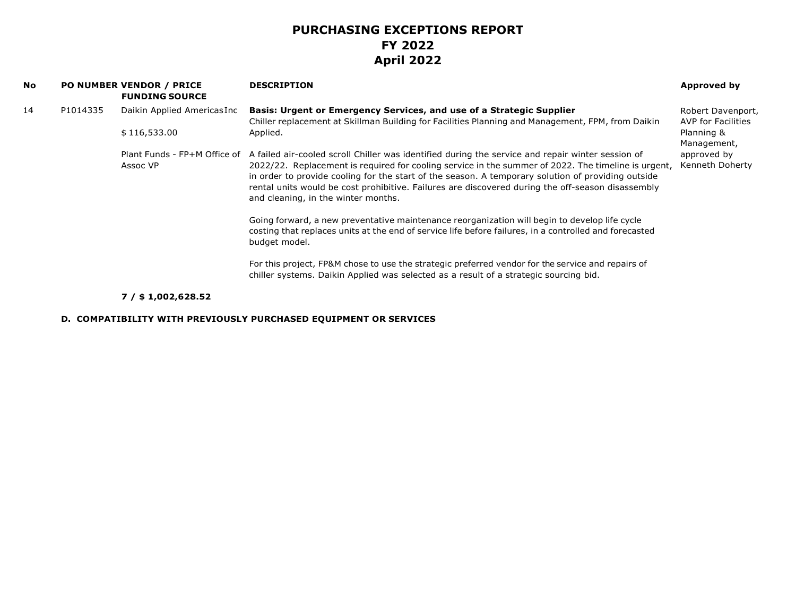| No |          | <b>PO NUMBER VENDOR / PRICE</b><br><b>FUNDING SOURCE</b> | <b>DESCRIPTION</b>                                                                                                                                                                                                                                                                                                                                                                                                                                         | Approved by                                    |
|----|----------|----------------------------------------------------------|------------------------------------------------------------------------------------------------------------------------------------------------------------------------------------------------------------------------------------------------------------------------------------------------------------------------------------------------------------------------------------------------------------------------------------------------------------|------------------------------------------------|
| 14 | P1014335 | Daikin Applied Americas Inc                              | <b>Basis: Urgent or Emergency Services, and use of a Strategic Supplier</b><br>Chiller replacement at Skillman Building for Facilities Planning and Management, FPM, from Daikin                                                                                                                                                                                                                                                                           | Robert Davenport,<br><b>AVP for Facilities</b> |
|    |          | \$116,533.00                                             | Applied.                                                                                                                                                                                                                                                                                                                                                                                                                                                   | Planning &<br>Management,                      |
|    |          | Plant Funds - FP+M Office of<br>Assoc VP                 | A failed air-cooled scroll Chiller was identified during the service and repair winter session of<br>2022/22. Replacement is required for cooling service in the summer of 2022. The timeline is urgent,<br>in order to provide cooling for the start of the season. A temporary solution of providing outside<br>rental units would be cost prohibitive. Failures are discovered during the off-season disassembly<br>and cleaning, in the winter months. | approved by<br>Kenneth Doherty                 |
|    |          |                                                          | Going forward, a new preventative maintenance reorganization will begin to develop life cycle<br>costing that replaces units at the end of service life before failures, in a controlled and forecasted<br>budget model.                                                                                                                                                                                                                                   |                                                |
|    |          |                                                          | For this project, FP&M chose to use the strategic preferred vendor for the service and repairs of<br>chiller systems. Daikin Applied was selected as a result of a strategic sourcing bid.                                                                                                                                                                                                                                                                 |                                                |

### **7 / \$ 1,002,628.52**

#### **D. COMPATIBILITY WITH PREVIOUSLY PURCHASED EQUIPMENT OR SERVICES**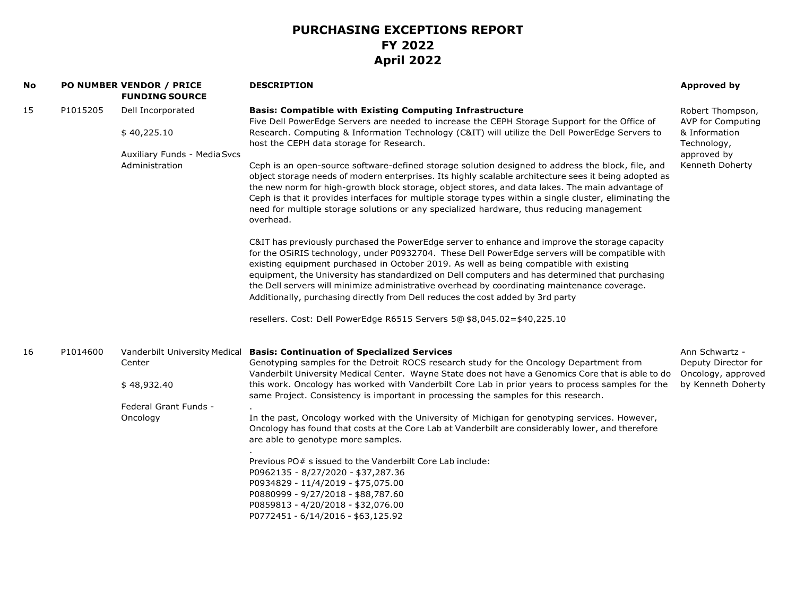| No |          | <b>PO NUMBER VENDOR / PRICE</b><br><b>FUNDING SOURCE</b>                                    | <b>DESCRIPTION</b>                                                                                                                                                                                                                                                                                                                                                                                                                                                                                                                                                                                                                                                                                                                                                                                                                                                                                                                                                                                                                                                                                                                                                                                                                                                                                                                                                                                                                                                                                                     | <b>Approved by</b>                                                                                             |
|----|----------|---------------------------------------------------------------------------------------------|------------------------------------------------------------------------------------------------------------------------------------------------------------------------------------------------------------------------------------------------------------------------------------------------------------------------------------------------------------------------------------------------------------------------------------------------------------------------------------------------------------------------------------------------------------------------------------------------------------------------------------------------------------------------------------------------------------------------------------------------------------------------------------------------------------------------------------------------------------------------------------------------------------------------------------------------------------------------------------------------------------------------------------------------------------------------------------------------------------------------------------------------------------------------------------------------------------------------------------------------------------------------------------------------------------------------------------------------------------------------------------------------------------------------------------------------------------------------------------------------------------------------|----------------------------------------------------------------------------------------------------------------|
| 15 | P1015205 | Dell Incorporated<br>\$40,225.10<br>Auxiliary Funds - Media Svcs<br>Administration          | <b>Basis: Compatible with Existing Computing Infrastructure</b><br>Five Dell PowerEdge Servers are needed to increase the CEPH Storage Support for the Office of<br>Research. Computing & Information Technology (C&IT) will utilize the Dell PowerEdge Servers to<br>host the CEPH data storage for Research.<br>Ceph is an open-source software-defined storage solution designed to address the block, file, and<br>object storage needs of modern enterprises. Its highly scalable architecture sees it being adopted as<br>the new norm for high-growth block storage, object stores, and data lakes. The main advantage of<br>Ceph is that it provides interfaces for multiple storage types within a single cluster, eliminating the<br>need for multiple storage solutions or any specialized hardware, thus reducing management<br>overhead.<br>C&IT has previously purchased the PowerEdge server to enhance and improve the storage capacity<br>for the OSiRIS technology, under P0932704. These Dell PowerEdge servers will be compatible with<br>existing equipment purchased in October 2019. As well as being compatible with existing<br>equipment, the University has standardized on Dell computers and has determined that purchasing<br>the Dell servers will minimize administrative overhead by coordinating maintenance coverage.<br>Additionally, purchasing directly from Dell reduces the cost added by 3rd party<br>resellers. Cost: Dell PowerEdge R6515 Servers 5@ \$8,045.02=\$40,225.10 | Robert Thompson,<br><b>AVP for Computing</b><br>& Information<br>Technology,<br>approved by<br>Kenneth Doherty |
| 16 | P1014600 | Vanderbilt University Medical<br>Center<br>\$48,932.40<br>Federal Grant Funds -<br>Oncology | <b>Basis: Continuation of Specialized Services</b><br>Genotyping samples for the Detroit ROCS research study for the Oncology Department from<br>Vanderbilt University Medical Center. Wayne State does not have a Genomics Core that is able to do<br>this work. Oncology has worked with Vanderbilt Core Lab in prior years to process samples for the<br>same Project. Consistency is important in processing the samples for this research.<br>In the past, Oncology worked with the University of Michigan for genotyping services. However,<br>Oncology has found that costs at the Core Lab at Vanderbilt are considerably lower, and therefore<br>are able to genotype more samples.<br>Previous PO# s issued to the Vanderbilt Core Lab include:<br>P0962135 - 8/27/2020 - \$37,287.36<br>P0934829 - 11/4/2019 - \$75,075.00<br>P0880999 - 9/27/2018 - \$88,787.60<br>P0859813 - 4/20/2018 - \$32,076.00<br>P0772451 - 6/14/2016 - \$63,125.92                                                                                                                                                                                                                                                                                                                                                                                                                                                                                                                                                                | Ann Schwartz -<br>Deputy Director for<br>Oncology, approved<br>by Kenneth Doherty                              |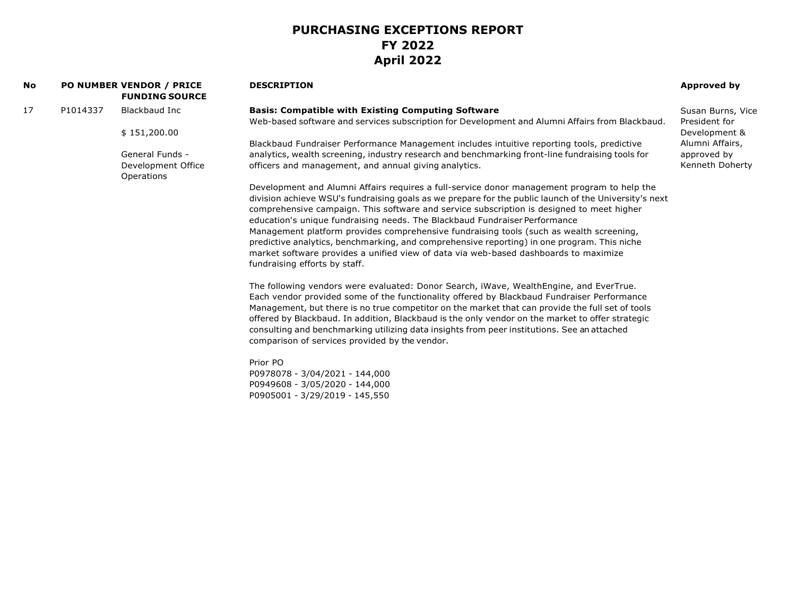| No |          | <b>PO NUMBER VENDOR / PRICE</b><br><b>FUNDING SOURCE</b> | <b>DESCRIPTION</b>                                                                                                                                                                                                                                                                                                                                                                                                                                                                                                                                                                                                                                                                                 | Approved by       |
|----|----------|----------------------------------------------------------|----------------------------------------------------------------------------------------------------------------------------------------------------------------------------------------------------------------------------------------------------------------------------------------------------------------------------------------------------------------------------------------------------------------------------------------------------------------------------------------------------------------------------------------------------------------------------------------------------------------------------------------------------------------------------------------------------|-------------------|
| 17 | P1014337 | Blackbaud Inc                                            | <b>Basis: Compatible with Existing Computing Software</b>                                                                                                                                                                                                                                                                                                                                                                                                                                                                                                                                                                                                                                          | Susan Burns, Vice |
|    |          |                                                          | Web-based software and services subscription for Development and Alumni Affairs from Blackbaud.                                                                                                                                                                                                                                                                                                                                                                                                                                                                                                                                                                                                    | President for     |
|    |          | \$151,200.00                                             |                                                                                                                                                                                                                                                                                                                                                                                                                                                                                                                                                                                                                                                                                                    | Development &     |
|    |          |                                                          | Blackbaud Fundraiser Performance Management includes intuitive reporting tools, predictive                                                                                                                                                                                                                                                                                                                                                                                                                                                                                                                                                                                                         | Alumni Affairs,   |
|    |          | General Funds -                                          | analytics, wealth screening, industry research and benchmarking front-line fundraising tools for                                                                                                                                                                                                                                                                                                                                                                                                                                                                                                                                                                                                   | approved by       |
|    |          | Development Office<br>Operations                         | officers and management, and annual giving analytics.                                                                                                                                                                                                                                                                                                                                                                                                                                                                                                                                                                                                                                              | Kenneth Doherty   |
|    |          |                                                          | Development and Alumni Affairs requires a full-service donor management program to help the<br>division achieve WSU's fundraising goals as we prepare for the public launch of the University's next<br>comprehensive campaign. This software and service subscription is designed to meet higher<br>education's unique fundraising needs. The Blackbaud Fundraiser Performance<br>Management platform provides comprehensive fundraising tools (such as wealth screening,<br>predictive analytics, benchmarking, and comprehensive reporting) in one program. This niche<br>market software provides a unified view of data via web-based dashboards to maximize<br>fundraising efforts by staff. |                   |
|    |          |                                                          | The following vendors were evaluated: Donor Search, iWave, WealthEngine, and EverTrue.<br>Each vendor provided some of the functionality offered by Blackbaud Fundraiser Performance<br>Management, but there is no true competitor on the market that can provide the full set of tools<br>offered by Blackbaud. In addition, Blackbaud is the only vendor on the market to offer strategic<br>consulting and benchmarking utilizing data insights from peer institutions. See an attached<br>comparison of services provided by the vendor.                                                                                                                                                      |                   |
|    |          |                                                          | Prior PO<br>P0978078 - 3/04/2021 - 144,000<br>P0949608 - 3/05/2020 - 144,000<br>P0905001 - 3/29/2019 - 145,550                                                                                                                                                                                                                                                                                                                                                                                                                                                                                                                                                                                     |                   |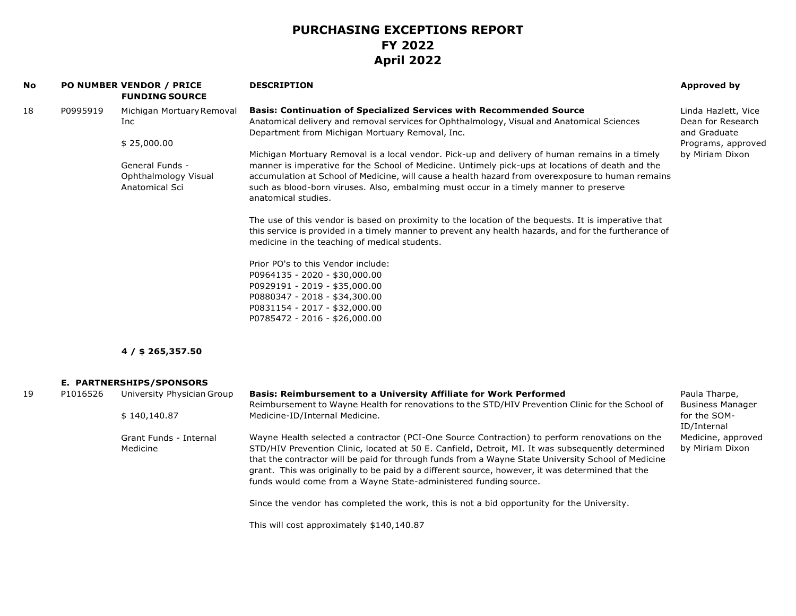| No |          | <b>PO NUMBER VENDOR / PRICE</b><br><b>FUNDING SOURCE</b>  | <b>DESCRIPTION</b>                                                                                                                                                                                                                                                                                                                                                                                                                                                                | <b>Approved by</b>                                       |
|----|----------|-----------------------------------------------------------|-----------------------------------------------------------------------------------------------------------------------------------------------------------------------------------------------------------------------------------------------------------------------------------------------------------------------------------------------------------------------------------------------------------------------------------------------------------------------------------|----------------------------------------------------------|
| 18 | P0995919 | Michigan Mortuary Removal<br>Inc                          | <b>Basis: Continuation of Specialized Services with Recommended Source</b><br>Anatomical delivery and removal services for Ophthalmology, Visual and Anatomical Sciences<br>Department from Michigan Mortuary Removal, Inc.                                                                                                                                                                                                                                                       | Linda Hazlett, Vice<br>Dean for Research<br>and Graduate |
|    |          | \$25,000.00                                               |                                                                                                                                                                                                                                                                                                                                                                                                                                                                                   | Programs, approved                                       |
|    |          | General Funds -<br>Ophthalmology Visual<br>Anatomical Sci | Michigan Mortuary Removal is a local vendor. Pick-up and delivery of human remains in a timely<br>manner is imperative for the School of Medicine. Untimely pick-ups at locations of death and the<br>accumulation at School of Medicine, will cause a health hazard from overexposure to human remains<br>such as blood-born viruses. Also, embalming must occur in a timely manner to preserve<br>anatomical studies.                                                           | by Miriam Dixon                                          |
|    |          |                                                           | The use of this vendor is based on proximity to the location of the bequests. It is imperative that<br>this service is provided in a timely manner to prevent any health hazards, and for the furtherance of<br>medicine in the teaching of medical students.                                                                                                                                                                                                                     |                                                          |
|    |          |                                                           | Prior PO's to this Vendor include:<br>P0964135 - 2020 - \$30,000.00<br>P0929191 - 2019 - \$35,000.00<br>P0880347 - 2018 - \$34,300.00<br>P0831154 - 2017 - \$32,000.00<br>P0785472 - 2016 - \$26,000.00                                                                                                                                                                                                                                                                           |                                                          |
|    |          | $4/$ \$ 265,357.50                                        |                                                                                                                                                                                                                                                                                                                                                                                                                                                                                   |                                                          |
|    |          | E. PARTNERSHIPS/SPONSORS                                  |                                                                                                                                                                                                                                                                                                                                                                                                                                                                                   |                                                          |
| 19 | P1016526 | University Physician Group                                | Basis: Reimbursement to a University Affiliate for Work Performed                                                                                                                                                                                                                                                                                                                                                                                                                 | Paula Tharpe,                                            |
|    |          | \$140,140.87                                              | Reimbursement to Wayne Health for renovations to the STD/HIV Prevention Clinic for the School of<br>Medicine-ID/Internal Medicine.                                                                                                                                                                                                                                                                                                                                                | <b>Business Manager</b><br>for the SOM-<br>ID/Internal   |
|    |          | Grant Funds - Internal<br>Medicine                        | Wayne Health selected a contractor (PCI-One Source Contraction) to perform renovations on the<br>STD/HIV Prevention Clinic, located at 50 E. Canfield, Detroit, MI. It was subsequently determined<br>that the contractor will be paid for through funds from a Wayne State University School of Medicine<br>grant. This was originally to be paid by a different source, however, it was determined that the<br>funds would come from a Wayne State-administered funding source. | Medicine, approved<br>by Miriam Dixon                    |
|    |          |                                                           | Since the vendor has completed the work, this is not a bid opportunity for the University.                                                                                                                                                                                                                                                                                                                                                                                        |                                                          |
|    |          |                                                           | This will cost approximately \$140,140.87                                                                                                                                                                                                                                                                                                                                                                                                                                         |                                                          |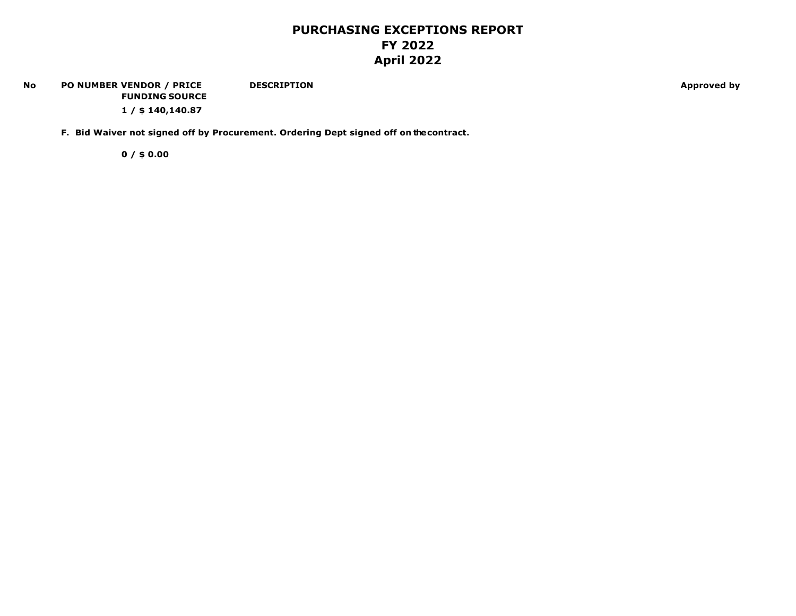#### **No PO NUMBER VENDOR / PRICE FUNDING SOURCE DESCRIPTION Approved by**

**1 / \$ 140,140.87**

**F. Bid Waiver not signed off by Procurement. Ordering Dept signed off on the contract.**

**0 / \$ 0.00**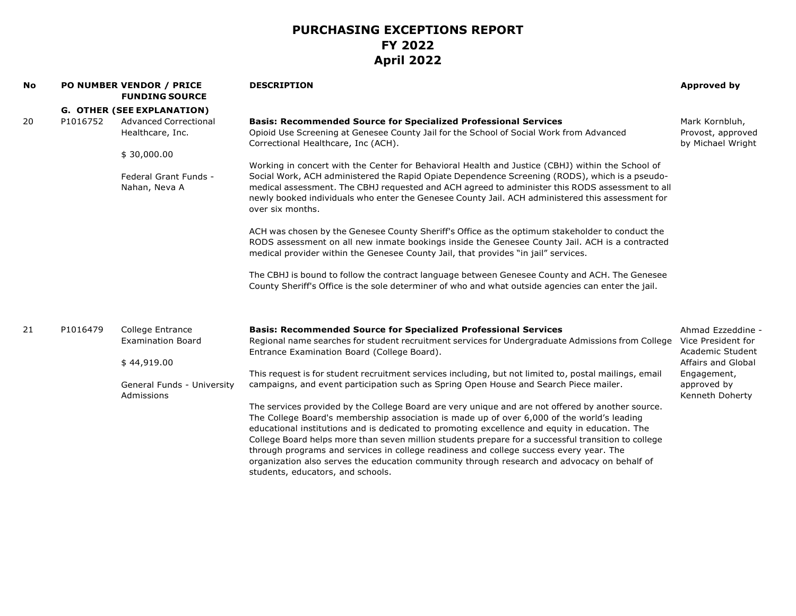| No | <b>PO NUMBER VENDOR / PRICE</b><br><b>FUNDING SOURCE</b> |                                                                                                         | <b>DESCRIPTION</b>                                                                                                                                                                                                                                                                                                                                                                                                                                                                                                                                                                                                                                                                                                                                                                                                                                                                                                                                                                                                                                                                                                                                                             | <b>Approved by</b>                                                                                                                 |
|----|----------------------------------------------------------|---------------------------------------------------------------------------------------------------------|--------------------------------------------------------------------------------------------------------------------------------------------------------------------------------------------------------------------------------------------------------------------------------------------------------------------------------------------------------------------------------------------------------------------------------------------------------------------------------------------------------------------------------------------------------------------------------------------------------------------------------------------------------------------------------------------------------------------------------------------------------------------------------------------------------------------------------------------------------------------------------------------------------------------------------------------------------------------------------------------------------------------------------------------------------------------------------------------------------------------------------------------------------------------------------|------------------------------------------------------------------------------------------------------------------------------------|
|    |                                                          | <b>G. OTHER (SEE EXPLANATION)</b>                                                                       |                                                                                                                                                                                                                                                                                                                                                                                                                                                                                                                                                                                                                                                                                                                                                                                                                                                                                                                                                                                                                                                                                                                                                                                |                                                                                                                                    |
| 20 | P1016752                                                 | <b>Advanced Correctional</b><br>Healthcare, Inc.                                                        | <b>Basis: Recommended Source for Specialized Professional Services</b><br>Opioid Use Screening at Genesee County Jail for the School of Social Work from Advanced<br>Correctional Healthcare, Inc (ACH).                                                                                                                                                                                                                                                                                                                                                                                                                                                                                                                                                                                                                                                                                                                                                                                                                                                                                                                                                                       | Mark Kornbluh,<br>Provost, approved<br>by Michael Wright                                                                           |
|    |                                                          | \$30,000.00<br>Federal Grant Funds -<br>Nahan, Neva A                                                   | Working in concert with the Center for Behavioral Health and Justice (CBHJ) within the School of<br>Social Work, ACH administered the Rapid Opiate Dependence Screening (RODS), which is a pseudo-<br>medical assessment. The CBHJ requested and ACH agreed to administer this RODS assessment to all<br>newly booked individuals who enter the Genesee County Jail. ACH administered this assessment for<br>over six months.<br>ACH was chosen by the Genesee County Sheriff's Office as the optimum stakeholder to conduct the<br>RODS assessment on all new inmate bookings inside the Genesee County Jail. ACH is a contracted<br>medical provider within the Genesee County Jail, that provides "in jail" services.<br>The CBHJ is bound to follow the contract language between Genesee County and ACH. The Genesee                                                                                                                                                                                                                                                                                                                                                      |                                                                                                                                    |
| 21 | P1016479                                                 | College Entrance<br><b>Examination Board</b><br>\$44,919.00<br>General Funds - University<br>Admissions | County Sheriff's Office is the sole determiner of who and what outside agencies can enter the jail.<br><b>Basis: Recommended Source for Specialized Professional Services</b><br>Regional name searches for student recruitment services for Undergraduate Admissions from College<br>Entrance Examination Board (College Board).<br>This request is for student recruitment services including, but not limited to, postal mailings, email<br>campaigns, and event participation such as Spring Open House and Search Piece mailer.<br>The services provided by the College Board are very unique and are not offered by another source.<br>The College Board's membership association is made up of over 6,000 of the world's leading<br>educational institutions and is dedicated to promoting excellence and equity in education. The<br>College Board helps more than seven million students prepare for a successful transition to college<br>through programs and services in college readiness and college success every year. The<br>organization also serves the education community through research and advocacy on behalf of<br>students, educators, and schools. | Ahmad Ezzeddine -<br>Vice President for<br>Academic Student<br>Affairs and Global<br>Engagement,<br>approved by<br>Kenneth Doherty |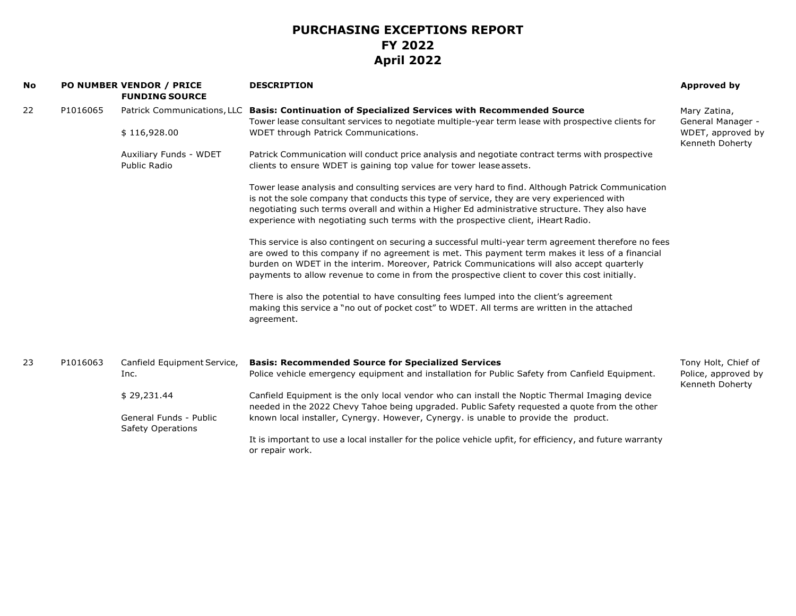| <b>No</b> |          | PO NUMBER VENDOR / PRICE<br><b>FUNDING SOURCE</b>  | <b>DESCRIPTION</b>                                                                                                                                                                                                                                                                                                                                                                                      | <b>Approved by</b>                     |
|-----------|----------|----------------------------------------------------|---------------------------------------------------------------------------------------------------------------------------------------------------------------------------------------------------------------------------------------------------------------------------------------------------------------------------------------------------------------------------------------------------------|----------------------------------------|
| 22        | P1016065 |                                                    | Patrick Communications, LLC Basis: Continuation of Specialized Services with Recommended Source                                                                                                                                                                                                                                                                                                         | Mary Zatina,                           |
|           |          |                                                    | Tower lease consultant services to negotiate multiple-year term lease with prospective clients for                                                                                                                                                                                                                                                                                                      | General Manager -                      |
|           |          | \$116,928.00                                       | WDET through Patrick Communications.                                                                                                                                                                                                                                                                                                                                                                    | WDET, approved by<br>Kenneth Doherty   |
|           |          | Auxiliary Funds - WDET                             | Patrick Communication will conduct price analysis and negotiate contract terms with prospective                                                                                                                                                                                                                                                                                                         |                                        |
|           |          | Public Radio                                       | clients to ensure WDET is gaining top value for tower lease assets.                                                                                                                                                                                                                                                                                                                                     |                                        |
|           |          |                                                    | Tower lease analysis and consulting services are very hard to find. Although Patrick Communication<br>is not the sole company that conducts this type of service, they are very experienced with<br>negotiating such terms overall and within a Higher Ed administrative structure. They also have                                                                                                      |                                        |
|           |          |                                                    | experience with negotiating such terms with the prospective client, iHeart Radio.                                                                                                                                                                                                                                                                                                                       |                                        |
|           |          |                                                    | This service is also contingent on securing a successful multi-year term agreement therefore no fees<br>are owed to this company if no agreement is met. This payment term makes it less of a financial<br>burden on WDET in the interim. Moreover, Patrick Communications will also accept quarterly<br>payments to allow revenue to come in from the prospective client to cover this cost initially. |                                        |
|           |          |                                                    | There is also the potential to have consulting fees lumped into the client's agreement<br>making this service a "no out of pocket cost" to WDET. All terms are written in the attached<br>agreement.                                                                                                                                                                                                    |                                        |
| 23        | P1016063 | Canfield Equipment Service,                        | <b>Basis: Recommended Source for Specialized Services</b>                                                                                                                                                                                                                                                                                                                                               | Tony Holt, Chief of                    |
|           |          | Inc.                                               | Police vehicle emergency equipment and installation for Public Safety from Canfield Equipment.                                                                                                                                                                                                                                                                                                          | Police, approved by<br>Kenneth Doherty |
|           |          | \$29,231.44                                        | Canfield Equipment is the only local vendor who can install the Noptic Thermal Imaging device<br>needed in the 2022 Chevy Tahoe being upgraded. Public Safety requested a quote from the other                                                                                                                                                                                                          |                                        |
|           |          | General Funds - Public<br><b>Safety Operations</b> | known local installer, Cynergy. However, Cynergy. is unable to provide the product.                                                                                                                                                                                                                                                                                                                     |                                        |
|           |          |                                                    | It is important to use a local installer for the police vehicle upfit, for efficiency, and future warranty<br>or repair work.                                                                                                                                                                                                                                                                           |                                        |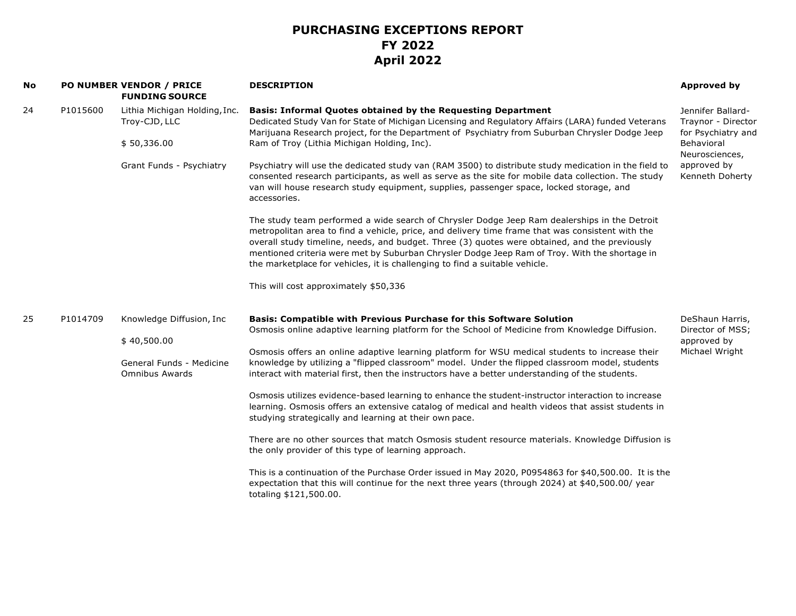| <b>No</b> |          | PO NUMBER VENDOR / PRICE<br><b>FUNDING SOURCE</b> | <b>DESCRIPTION</b>                                                                                                                                                                                                                                                                                                                                                                                                                                                                | <b>Approved by</b>                                                                                                              |
|-----------|----------|---------------------------------------------------|-----------------------------------------------------------------------------------------------------------------------------------------------------------------------------------------------------------------------------------------------------------------------------------------------------------------------------------------------------------------------------------------------------------------------------------------------------------------------------------|---------------------------------------------------------------------------------------------------------------------------------|
| 24        | P1015600 | Lithia Michigan Holding, Inc.<br>Troy-CJD, LLC    | <b>Basis: Informal Quotes obtained by the Requesting Department</b><br>Dedicated Study Van for State of Michigan Licensing and Regulatory Affairs (LARA) funded Veterans<br>Marijuana Research project, for the Department of Psychiatry from Suburban Chrysler Dodge Jeep                                                                                                                                                                                                        | Jennifer Ballard-<br>Traynor - Director<br>for Psychiatry and<br>Behavioral<br>Neurosciences,<br>approved by<br>Kenneth Doherty |
|           |          | \$50,336.00<br>Grant Funds - Psychiatry           | Ram of Troy (Lithia Michigan Holding, Inc).                                                                                                                                                                                                                                                                                                                                                                                                                                       |                                                                                                                                 |
|           |          |                                                   | Psychiatry will use the dedicated study van (RAM 3500) to distribute study medication in the field to<br>consented research participants, as well as serve as the site for mobile data collection. The study<br>van will house research study equipment, supplies, passenger space, locked storage, and<br>accessories.                                                                                                                                                           |                                                                                                                                 |
|           |          |                                                   | The study team performed a wide search of Chrysler Dodge Jeep Ram dealerships in the Detroit<br>metropolitan area to find a vehicle, price, and delivery time frame that was consistent with the<br>overall study timeline, needs, and budget. Three (3) quotes were obtained, and the previously<br>mentioned criteria were met by Suburban Chrysler Dodge Jeep Ram of Troy. With the shortage in<br>the marketplace for vehicles, it is challenging to find a suitable vehicle. |                                                                                                                                 |
|           |          |                                                   | This will cost approximately \$50,336                                                                                                                                                                                                                                                                                                                                                                                                                                             |                                                                                                                                 |
| 25        | P1014709 | Knowledge Diffusion, Inc<br>\$40,500.00           | <b>Basis: Compatible with Previous Purchase for this Software Solution</b><br>Osmosis online adaptive learning platform for the School of Medicine from Knowledge Diffusion.                                                                                                                                                                                                                                                                                                      | DeShaun Harris,<br>Director of MSS;<br>approved by<br>Michael Wright                                                            |
|           |          | General Funds - Medicine<br><b>Omnibus Awards</b> | Osmosis offers an online adaptive learning platform for WSU medical students to increase their<br>knowledge by utilizing a "flipped classroom" model. Under the flipped classroom model, students<br>interact with material first, then the instructors have a better understanding of the students.                                                                                                                                                                              |                                                                                                                                 |
|           |          |                                                   | Osmosis utilizes evidence-based learning to enhance the student-instructor interaction to increase<br>learning. Osmosis offers an extensive catalog of medical and health videos that assist students in<br>studying strategically and learning at their own pace.                                                                                                                                                                                                                |                                                                                                                                 |
|           |          |                                                   | There are no other sources that match Osmosis student resource materials. Knowledge Diffusion is<br>the only provider of this type of learning approach.                                                                                                                                                                                                                                                                                                                          |                                                                                                                                 |
|           |          |                                                   | This is a continuation of the Purchase Order issued in May 2020, P0954863 for \$40,500.00. It is the<br>expectation that this will continue for the next three years (through 2024) at \$40,500.00/ year<br>totaling \$121,500.00.                                                                                                                                                                                                                                                |                                                                                                                                 |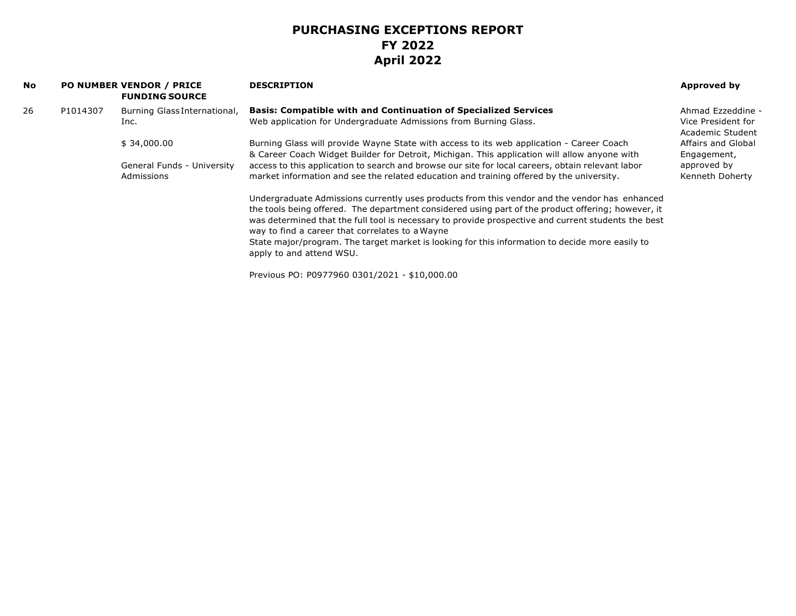| No |          | <b>PO NUMBER VENDOR / PRICE</b><br><b>FUNDING SOURCE</b> | <b>DESCRIPTION</b>                                                                                                                                                                                                                                                                                                                                            | Approved by                            |
|----|----------|----------------------------------------------------------|---------------------------------------------------------------------------------------------------------------------------------------------------------------------------------------------------------------------------------------------------------------------------------------------------------------------------------------------------------------|----------------------------------------|
| 26 | P1014307 | Burning Glass International,                             | <b>Basis: Compatible with and Continuation of Specialized Services</b>                                                                                                                                                                                                                                                                                        | Ahmad Ezzeddine -                      |
|    |          | Inc.                                                     | Web application for Undergraduate Admissions from Burning Glass.                                                                                                                                                                                                                                                                                              | Vice President for<br>Academic Student |
|    |          | \$34,000.00                                              | Burning Glass will provide Wayne State with access to its web application - Career Coach                                                                                                                                                                                                                                                                      | Affairs and Global                     |
|    |          |                                                          | & Career Coach Widget Builder for Detroit, Michigan. This application will allow anyone with                                                                                                                                                                                                                                                                  | Engagement,                            |
|    |          | General Funds - University                               | access to this application to search and browse our site for local careers, obtain relevant labor                                                                                                                                                                                                                                                             | approved by                            |
|    |          | Admissions                                               | market information and see the related education and training offered by the university.                                                                                                                                                                                                                                                                      | Kenneth Doherty                        |
|    |          |                                                          | Undergraduate Admissions currently uses products from this vendor and the vendor has enhanced<br>the tools being offered. The department considered using part of the product offering; however, it<br>was determined that the full tool is necessary to provide prospective and current students the best<br>way to find a career that correlates to a Wayne |                                        |
|    |          |                                                          | State major/program. The target market is looking for this information to decide more easily to                                                                                                                                                                                                                                                               |                                        |
|    |          |                                                          | apply to and attend WSU.                                                                                                                                                                                                                                                                                                                                      |                                        |
|    |          |                                                          | Previous PO: P0977960 0301/2021 - \$10,000.00                                                                                                                                                                                                                                                                                                                 |                                        |